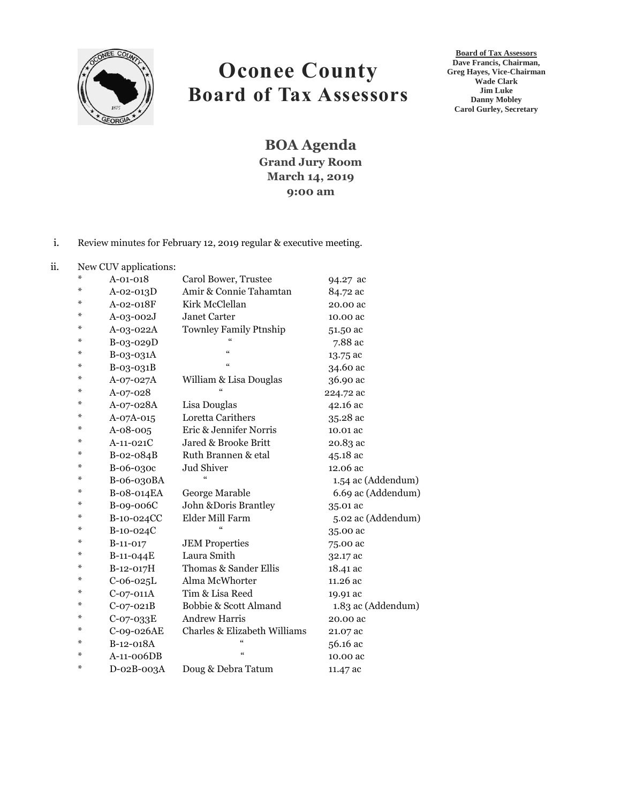

# **Oconee County Board of Tax Assessors**

**Board of Tax Assessors Dave Francis, Chairman, Greg Hayes, Vice-Chairman Wade Clark Jim Luke Danny Mobley Carol Gurley, Secretary**

**BOA Agenda Grand Jury Room March 14, 2019 9:00 am**

### i. Review minutes for February 12, 2019 regular & executive meeting.

#### ii. New CUV applications:

| ⋇ | $A - 01 - 018$  | Carol Bower, Trustee          | 94.27 ac           |
|---|-----------------|-------------------------------|--------------------|
| ⋇ | $A - 02 - 013D$ | Amir & Connie Tahamtan        | 84.72 ac           |
| ⋇ | $A-02-018F$     | Kirk McClellan                | 20.00 ac           |
| ⋇ | $A-03-002J$     | Janet Carter                  | 10.00 ac           |
| ⋇ | A-03-022A       | <b>Townley Family Ptnship</b> | 51.50 ac           |
| ⋇ | B-03-029D       |                               | 7.88 ac            |
| ⋇ | B-03-031A       | $\zeta\zeta$                  | 13.75 ac           |
| ⋇ | B-03-031B       | $\zeta\zeta$                  | 34.60 ac           |
| ⋇ | A-07-027A       | William & Lisa Douglas        | 36.90 ac           |
| ⋇ | A-07-028        |                               | 224.72 ac          |
| ⋇ | A-07-028A       | Lisa Douglas                  | 42.16 ac           |
| ⋇ | A-07A-015       | Loretta Carithers             | 35.28 ac           |
| ⋇ | $A - 08 - 005$  | Eric & Jennifer Norris        | 10.01 ac           |
| ⋇ | $A-11-021C$     | Jared & Brooke Britt          | 20.83 ac           |
| ⋇ | B-02-084B       | Ruth Brannen & etal           | 45.18 ac           |
| ⋇ | B-06-030c       | Jud Shiver                    | 12.06 ac           |
| ⋇ | B-06-030BA      | $\epsilon$                    | 1.54 ac (Addendum) |
| ⋇ | B-08-014EA      | George Marable                | 6.69 ac (Addendum) |
| ⋇ | B-09-006C       | John &Doris Brantley          | 35.01 ac           |
| ⋇ | B-10-024CC      | Elder Mill Farm               | 5.02 ac (Addendum) |
| ⋇ | B-10-024C       |                               | 35.00 ac           |
| ⋇ | $B-11-017$      | <b>JEM Properties</b>         | 75.00 ac           |
| ⋇ | B-11-044E       | Laura Smith                   | 32.17 ac           |
| ⋇ | B-12-017H       | Thomas & Sander Ellis         | 18.41 ac           |
| ⋇ | $C-06-025L$     | Alma McWhorter                | 11.26 ac           |
| ⋇ | $C-07-011A$     | Tim & Lisa Reed               | 19.91 ac           |
| ⋇ | $C-07-021B$     | Bobbie & Scott Almand         | 1.83 ac (Addendum) |
| ⋇ | $C-07-033E$     | <b>Andrew Harris</b>          | 20.00 ac           |
| ⋇ | C-09-026AE      | Charles & Elizabeth Williams  | 21.07 ac           |
| ⋇ | B-12-018A       | $\epsilon$                    | 56.16 ac           |
| ⋇ | $A-11-006DB$    | $\epsilon$                    | 10.00 ac           |
| ⋇ | D-02B-003A      | Doug & Debra Tatum            | 11.47 ac           |